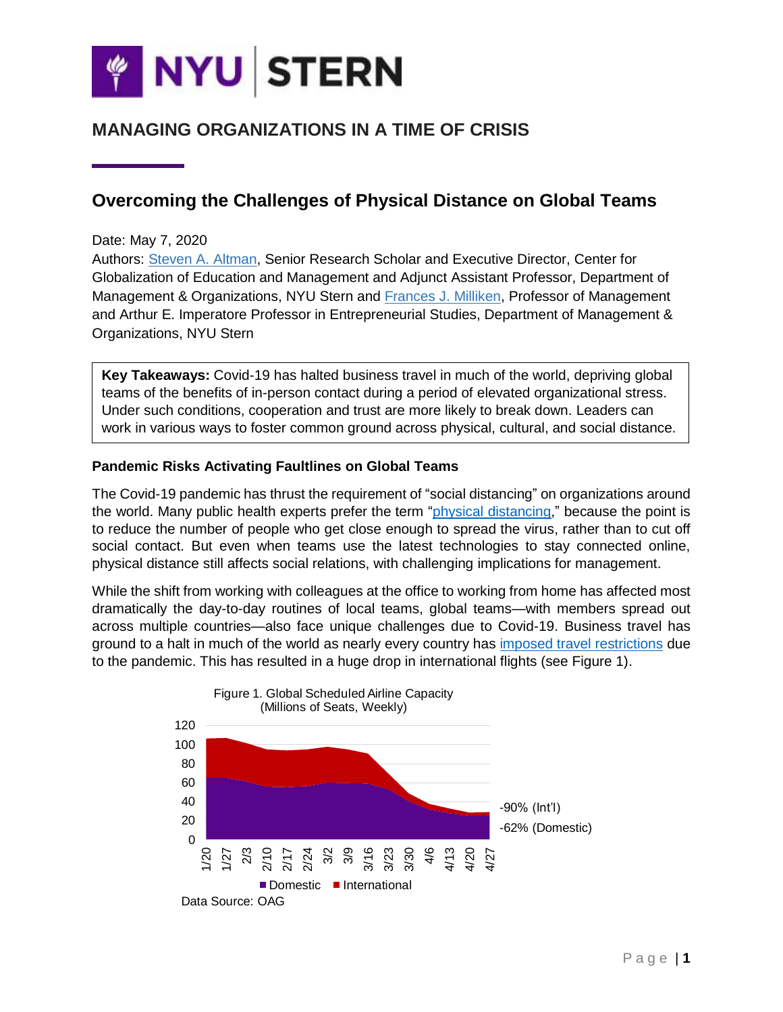

# **MANAGING ORGANIZATIONS IN A TIME OF CRISIS**

## **Overcoming the Challenges of Physical Distance on Global Teams**

#### Date: May 7, 2020

Authors: [Steven A. Altman,](https://www.stern.nyu.edu/faculty/bio/steven-altman) Senior Research Scholar and Executive Director, Center for Globalization of Education and Management and Adjunct Assistant Professor, Department of Management & Organizations, NYU Stern and [Frances J. Milliken,](https://www.stern.nyu.edu/faculty/bio/frances-milliken) Professor of Management and Arthur E. Imperatore Professor in Entrepreneurial Studies, Department of Management & Organizations, NYU Stern

**Key Takeaways:** Covid-19 has halted business travel in much of the world, depriving global teams of the benefits of in-person contact during a period of elevated organizational stress. Under such conditions, cooperation and trust are more likely to break down. Leaders can work in various ways to foster common ground across physical, cultural, and social distance.

#### **Pandemic Risks Activating Faultlines on Global Teams**

The Covid-19 pandemic has thrust the requirement of "social distancing" on organizations around the world. Many public health experts prefer the term ["physical distancing,](https://www.washingtonpost.com/lifestyle/wellness/social-distancing-coronavirus-physical-distancing/2020/03/25/a4d4b8bc-6ecf-11ea-aa80-c2470c6b2034_story.html)" because the point is to reduce the number of people who get close enough to spread the virus, rather than to cut off social contact. But even when teams use the latest technologies to stay connected online, physical distance still affects social relations, with challenging implications for management.

While the shift from working with colleagues at the office to working from home has affected most dramatically the day-to-day routines of local teams, global teams—with members spread out across multiple countries—also face unique challenges due to Covid-19. Business travel has ground to a halt in much of the world as nearly every country has [imposed travel restrictions](https://www.unwto.org/news/covid-19-response-travel-restrictions) due to the pandemic. This has resulted in a huge drop in international flights (see Figure 1).

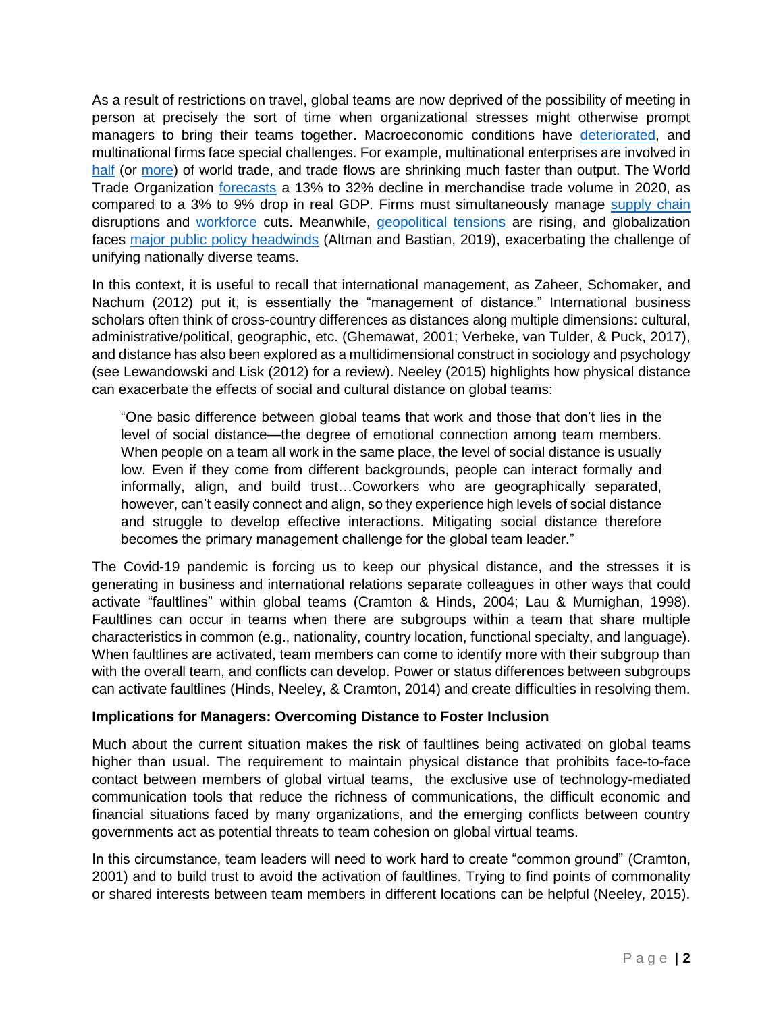As a result of restrictions on travel, global teams are now deprived of the possibility of meeting in person at precisely the sort of time when organizational stresses might otherwise prompt managers to bring their teams together. Macroeconomic conditions have [deteriorated,](https://blogs.imf.org/2020/04/14/the-great-lockdown-worst-economic-downturn-since-the-great-depression/) and multinational firms face special challenges. For example, multinational enterprises are involved in [half](https://www.oecd-ilibrary.org/industry-and-services/multinational-enterprises-and-global-value-chains_194ddb63-en) (or [more\)](https://unctad.org/en/pages/PressRelease.aspx?OriginalVersionID=113) of world trade, and trade flows are shrinking much faster than output. The World Trade Organization [forecasts](https://www.wto.org/english/news_e/pres20_e/pr855_e.htm) a 13% to 32% decline in merchandise trade volume in 2020, as compared to a 3% to 9% drop in real GDP. Firms must simultaneously manage [supply chain](https://www.bloomberg.com/news/articles/2020-03-20/a-covid-19-supply-chain-shock-born-in-china-is-going-global) disruptions and [workforce](https://www.ilo.org/wcmsp5/groups/public/@dgreports/@dcomm/documents/briefingnote/wcms_740877.pdf) cuts. Meanwhile, [geopolitical tensions](https://www.crisisgroup.org/global/sb4-covid-19-and-conflict-seven-trends-watch) are rising, and globalization faces [major public policy headwinds](https://logistics.dhl/gci) (Altman and Bastian, 2019), exacerbating the challenge of unifying nationally diverse teams.

In this context, it is useful to recall that international management, as Zaheer, Schomaker, and Nachum (2012) put it, is essentially the "management of distance." International business scholars often think of cross-country differences as distances along multiple dimensions: cultural, administrative/political, geographic, etc. (Ghemawat, 2001; Verbeke, van Tulder, & Puck, 2017), and distance has also been explored as a multidimensional construct in sociology and psychology (see Lewandowski and Lisk (2012) for a review). Neeley (2015) highlights how physical distance can exacerbate the effects of social and cultural distance on global teams:

"One basic difference between global teams that work and those that don't lies in the level of social distance—the degree of emotional connection among team members. When people on a team all work in the same place, the level of social distance is usually low. Even if they come from different backgrounds, people can interact formally and informally, align, and build trust…Coworkers who are geographically separated, however, can't easily connect and align, so they experience high levels of social distance and struggle to develop effective interactions. Mitigating social distance therefore becomes the primary management challenge for the global team leader."

The Covid-19 pandemic is forcing us to keep our physical distance, and the stresses it is generating in business and international relations separate colleagues in other ways that could activate "faultlines" within global teams (Cramton & Hinds, 2004; Lau & Murnighan, 1998). Faultlines can occur in teams when there are subgroups within a team that share multiple characteristics in common (e.g., nationality, country location, functional specialty, and language). When faultlines are activated, team members can come to identify more with their subgroup than with the overall team, and conflicts can develop. Power or status differences between subgroups can activate faultlines (Hinds, Neeley, & Cramton, 2014) and create difficulties in resolving them.

### **Implications for Managers: Overcoming Distance to Foster Inclusion**

Much about the current situation makes the risk of faultlines being activated on global teams higher than usual. The requirement to maintain physical distance that prohibits face-to-face contact between members of global virtual teams, the exclusive use of technology-mediated communication tools that reduce the richness of communications, the difficult economic and financial situations faced by many organizations, and the emerging conflicts between country governments act as potential threats to team cohesion on global virtual teams.

In this circumstance, team leaders will need to work hard to create "common ground" (Cramton, 2001) and to build trust to avoid the activation of faultlines. Trying to find points of commonality or shared interests between team members in different locations can be helpful (Neeley, 2015).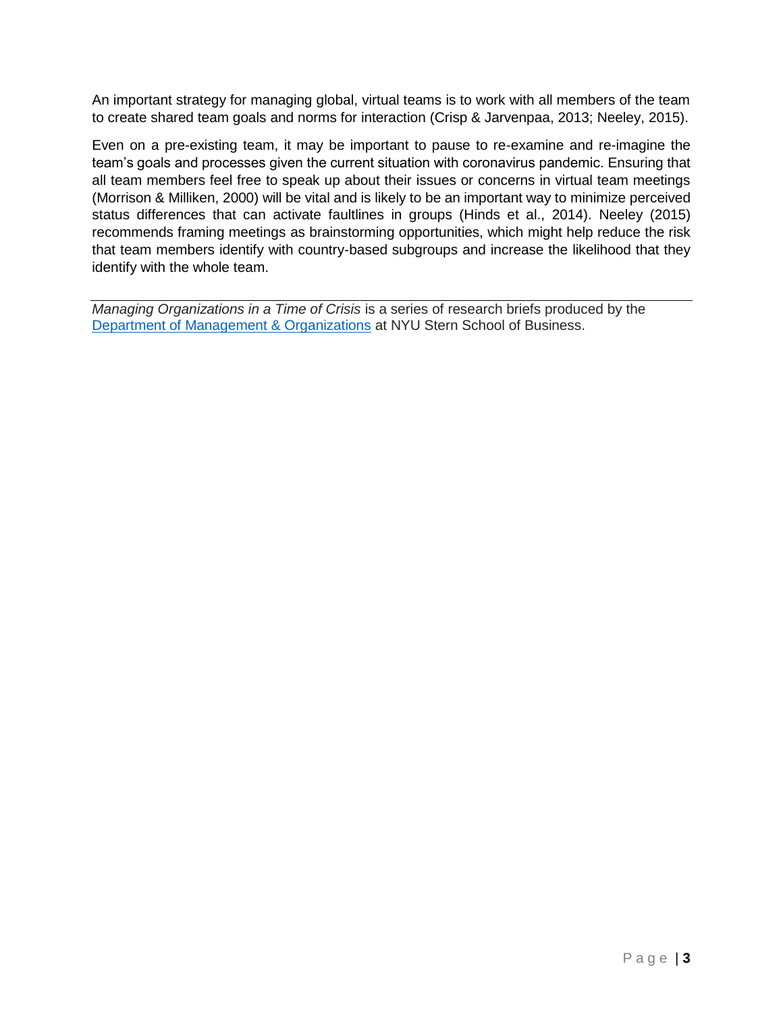An important strategy for managing global, virtual teams is to work with all members of the team to create shared team goals and norms for interaction (Crisp & Jarvenpaa, 2013; Neeley, 2015).

Even on a pre-existing team, it may be important to pause to re-examine and re-imagine the team's goals and processes given the current situation with coronavirus pandemic. Ensuring that all team members feel free to speak up about their issues or concerns in virtual team meetings (Morrison & Milliken, 2000) will be vital and is likely to be an important way to minimize perceived status differences that can activate faultlines in groups (Hinds et al., 2014). Neeley (2015) recommends framing meetings as brainstorming opportunities, which might help reduce the risk that team members identify with country-based subgroups and increase the likelihood that they identify with the whole team.

*Managing Organizations in a Time of Crisis* is a series of research briefs produced by the [Department of Management & Organizations](https://www.stern.nyu.edu/experience-stern/about/departments-centers-initiatives/academic-departments/management-and-organizations) at NYU Stern School of Business.